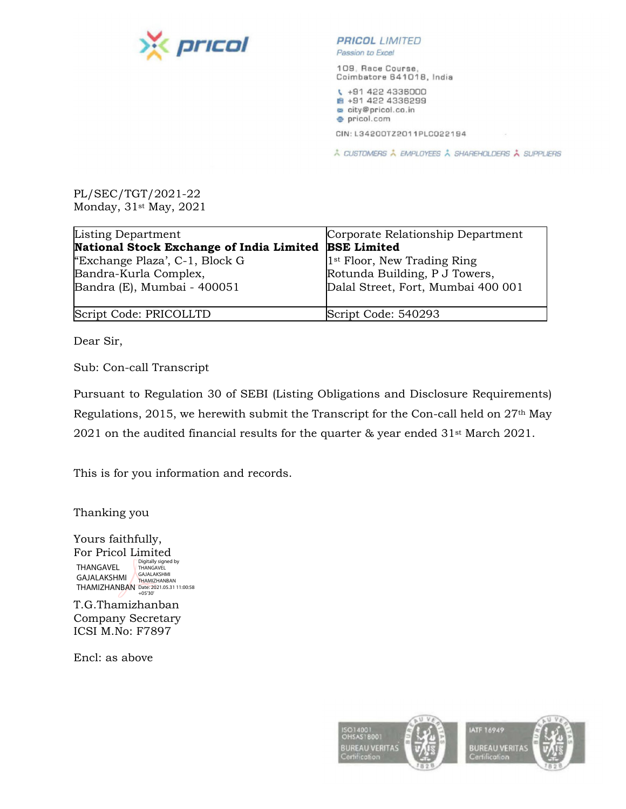

**PRICOL** LIMITED Passion to Excel

109, Race Course, Coimbatore 641018, India

₹ +91 422 4336000 ■ +91 422 4336299 city@pricol.co.in · pricol.com

CIN: L34200TZ2011PLC022194

À CUSTOMERS À EMPLOYEES À SHAREHOLDERS À SUPPLIERS

PL/SEC/TGT/2021-22 Monday, 31st May, 2021

| Listing Department                       | Corporate Relationship Department       |
|------------------------------------------|-----------------------------------------|
| National Stock Exchange of India Limited | <b>BSE Limited</b>                      |
| "Exchange Plaza", C-1, Block G           | 1 <sup>st</sup> Floor, New Trading Ring |
| Bandra-Kurla Complex,                    | Rotunda Building, P J Towers,           |
| Bandra (E), Mumbai - 400051              | Dalal Street, Fort, Mumbai 400 001      |
|                                          |                                         |
| Script Code: PRICOLLTD                   | Script Code: 540293                     |

Dear Sir,

Sub: Con-call Transcript

Pursuant to Regulation 30 of SEBI (Listing Obligations and Disclosure Requirements) Regulations, 2015, we herewith submit the Transcript for the Con-call held on 27th May 2021 on the audited financial results for the quarter & year ended 31st March 2021.

This is for you information and records.

Thanking you

Yours faithfully, For Pricol Limited THANGAVEL I HANGAVEL THANGAVEL<br>GAJALAKSHMI THAMIZHANBAN THAMIZHANBAN Date: 2021.05.31 11:00:58 +05'30'Digitally signed by<br>THANGAVEL

T.G.Thamizhanban Company Secretary ICSI M.No: F7897

Encl: as above

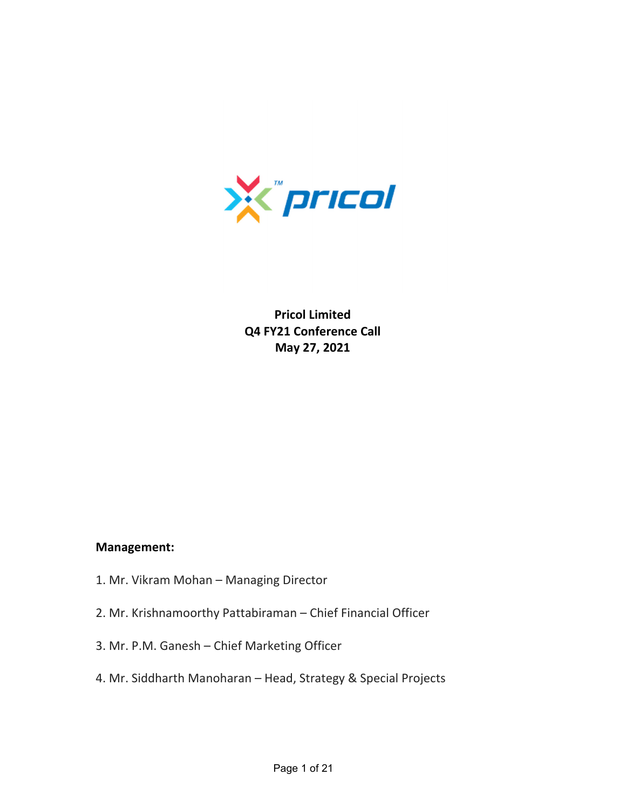

**Pricol Limited Q4 FY21 Conference Call May 27, 2021**

## **Management:**

- 1. Mr. Vikram Mohan Managing Director
- 2. Mr. Krishnamoorthy Pattabiraman Chief Financial Officer
- 3. Mr. P.M. Ganesh Chief Marketing Officer
- 4. Mr. Siddharth Manoharan Head, Strategy & Special Projects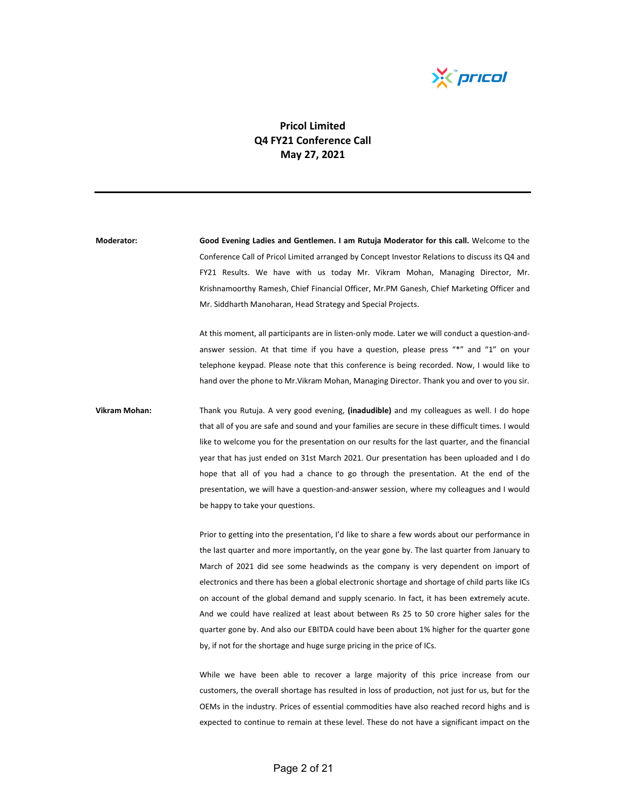

## **Pricol Limited Q4 FY21 Conference Call May 27, 2021**

**Moderator: Good Evening Ladies and Gentlemen. I am Rutuja Moderator for this call.** Welcome to the Conference Call of Pricol Limited arranged by Concept Investor Relations to discuss its Q4 and FY21 Results. We have with us today Mr. Vikram Mohan, Managing Director, Mr. Krishnamoorthy Ramesh, Chief Financial Officer, Mr.PM Ganesh, Chief Marketing Officer and Mr. Siddharth Manoharan, Head Strategy and Special Projects.

> At this moment, all participants are in listen‐only mode. Later we will conduct a question‐and‐ answer session. At that time if you have a question, please press "\*" and "1" on your telephone keypad. Please note that this conference is being recorded. Now, I would like to hand over the phone to Mr.Vikram Mohan, Managing Director. Thank you and over to you sir.

**Vikram Mohan:** Thank you Rutuja. A very good evening, **(inadudible)** and my colleagues as well. I do hope that all of you are safe and sound and your families are secure in these difficult times. I would like to welcome you for the presentation on our results for the last quarter, and the financial year that has just ended on 31st March 2021. Our presentation has been uploaded and I do hope that all of you had a chance to go through the presentation. At the end of the presentation, we will have a question‐and‐answer session, where my colleagues and I would be happy to take your questions.

> Prior to getting into the presentation, I'd like to share a few words about our performance in the last quarter and more importantly, on the year gone by. The last quarter from January to March of 2021 did see some headwinds as the company is very dependent on import of electronics and there has been a global electronic shortage and shortage of child parts like ICs on account of the global demand and supply scenario. In fact, it has been extremely acute. And we could have realized at least about between Rs 25 to 50 crore higher sales for the quarter gone by. And also our EBITDA could have been about 1% higher for the quarter gone by, if not for the shortage and huge surge pricing in the price of ICs.

> While we have been able to recover a large majority of this price increase from our customers, the overall shortage has resulted in loss of production, not just for us, but for the OEMs in the industry. Prices of essential commodities have also reached record highs and is expected to continue to remain at these level. These do not have a significant impact on the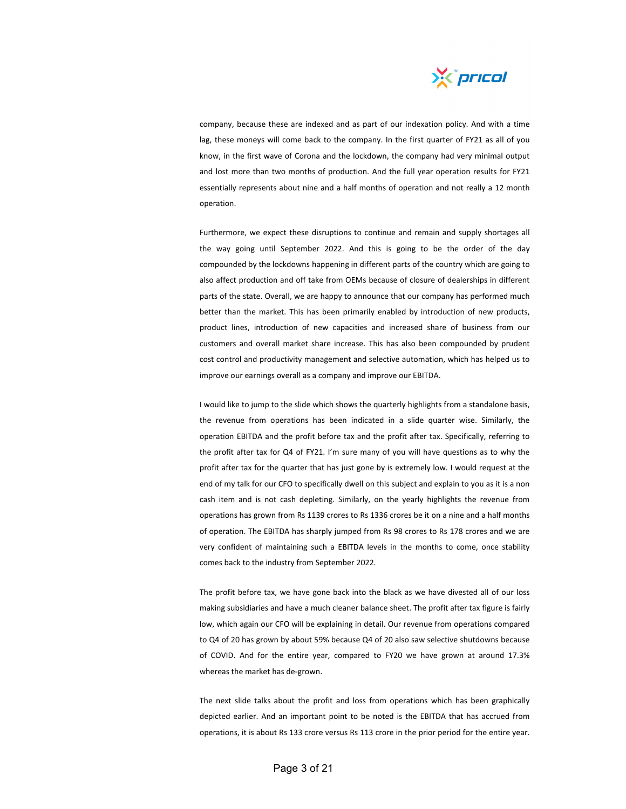

company, because these are indexed and as part of our indexation policy. And with a time lag, these moneys will come back to the company. In the first quarter of FY21 as all of you know, in the first wave of Corona and the lockdown, the company had very minimal output and lost more than two months of production. And the full year operation results for FY21 essentially represents about nine and a half months of operation and not really a 12 month operation.

Furthermore, we expect these disruptions to continue and remain and supply shortages all the way going until September 2022. And this is going to be the order of the day compounded by the lockdowns happening in different parts of the country which are going to also affect production and off take from OEMs because of closure of dealerships in different parts of the state. Overall, we are happy to announce that our company has performed much better than the market. This has been primarily enabled by introduction of new products, product lines, introduction of new capacities and increased share of business from our customers and overall market share increase. This has also been compounded by prudent cost control and productivity management and selective automation, which has helped us to improve our earnings overall as a company and improve our EBITDA.

I would like to jump to the slide which shows the quarterly highlights from a standalone basis, the revenue from operations has been indicated in a slide quarter wise. Similarly, the operation EBITDA and the profit before tax and the profit after tax. Specifically, referring to the profit after tax for Q4 of FY21. I'm sure many of you will have questions as to why the profit after tax for the quarter that has just gone by is extremely low. I would request at the end of my talk for our CFO to specifically dwell on this subject and explain to you as it is a non cash item and is not cash depleting. Similarly, on the yearly highlights the revenue from operations has grown from Rs 1139 crores to Rs 1336 crores be it on a nine and a half months of operation. The EBITDA has sharply jumped from Rs 98 crores to Rs 178 crores and we are very confident of maintaining such a EBITDA levels in the months to come, once stability comes back to the industry from September 2022.

The profit before tax, we have gone back into the black as we have divested all of our loss making subsidiaries and have a much cleaner balance sheet. The profit after tax figure is fairly low, which again our CFO will be explaining in detail. Our revenue from operations compared to Q4 of 20 has grown by about 59% because Q4 of 20 also saw selective shutdowns because of COVID. And for the entire year, compared to FY20 we have grown at around 17.3% whereas the market has de‐grown.

The next slide talks about the profit and loss from operations which has been graphically depicted earlier. And an important point to be noted is the EBITDA that has accrued from operations, it is about Rs 133 crore versus Rs 113 crore in the prior period for the entire year.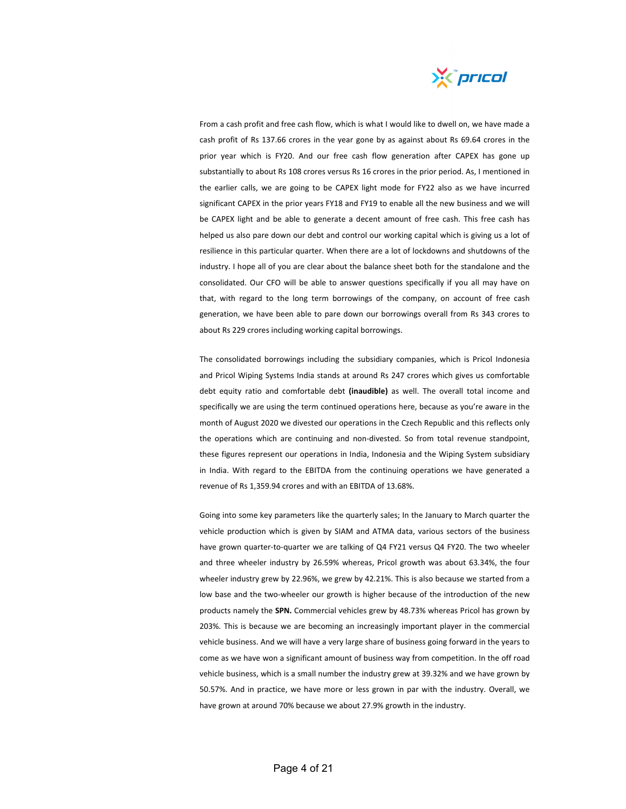

From a cash profit and free cash flow, which is what I would like to dwell on, we have made a cash profit of Rs 137.66 crores in the year gone by as against about Rs 69.64 crores in the prior year which is FY20. And our free cash flow generation after CAPEX has gone up substantially to about Rs 108 crores versus Rs 16 crores in the prior period. As, I mentioned in the earlier calls, we are going to be CAPEX light mode for FY22 also as we have incurred significant CAPEX in the prior years FY18 and FY19 to enable all the new business and we will be CAPEX light and be able to generate a decent amount of free cash. This free cash has helped us also pare down our debt and control our working capital which is giving us a lot of resilience in this particular quarter. When there are a lot of lockdowns and shutdowns of the industry. I hope all of you are clear about the balance sheet both for the standalone and the consolidated. Our CFO will be able to answer questions specifically if you all may have on that, with regard to the long term borrowings of the company, on account of free cash generation, we have been able to pare down our borrowings overall from Rs 343 crores to about Rs 229 crores including working capital borrowings.

The consolidated borrowings including the subsidiary companies, which is Pricol Indonesia and Pricol Wiping Systems India stands at around Rs 247 crores which gives us comfortable debt equity ratio and comfortable debt **(inaudible)** as well. The overall total income and specifically we are using the term continued operations here, because as you're aware in the month of August 2020 we divested our operations in the Czech Republic and this reflects only the operations which are continuing and non-divested. So from total revenue standpoint, these figures represent our operations in India, Indonesia and the Wiping System subsidiary in India. With regard to the EBITDA from the continuing operations we have generated a revenue of Rs 1,359.94 crores and with an EBITDA of 13.68%.

Going into some key parameters like the quarterly sales; In the January to March quarter the vehicle production which is given by SIAM and ATMA data, various sectors of the business have grown quarter-to-quarter we are talking of Q4 FY21 versus Q4 FY20. The two wheeler and three wheeler industry by 26.59% whereas, Pricol growth was about 63.34%, the four wheeler industry grew by 22.96%, we grew by 42.21%. This is also because we started from a low base and the two-wheeler our growth is higher because of the introduction of the new products namely the **SPN.** Commercial vehicles grew by 48.73% whereas Pricol has grown by 203%. This is because we are becoming an increasingly important player in the commercial vehicle business. And we will have a very large share of business going forward in the years to come as we have won a significant amount of business way from competition. In the off road vehicle business, which is a small number the industry grew at 39.32% and we have grown by 50.57%. And in practice, we have more or less grown in par with the industry. Overall, we have grown at around 70% because we about 27.9% growth in the industry.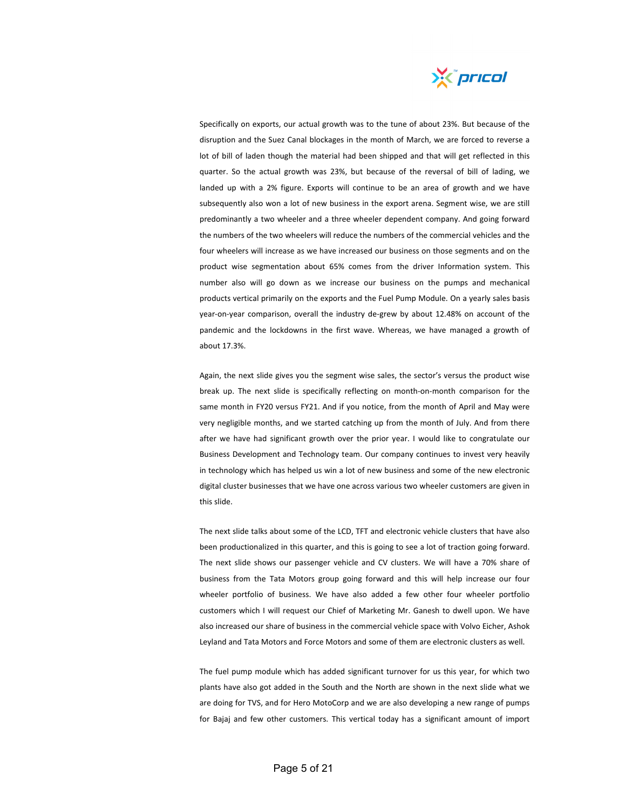

Specifically on exports, our actual growth was to the tune of about 23%. But because of the disruption and the Suez Canal blockages in the month of March, we are forced to reverse a lot of bill of laden though the material had been shipped and that will get reflected in this quarter. So the actual growth was 23%, but because of the reversal of bill of lading, we landed up with a 2% figure. Exports will continue to be an area of growth and we have subsequently also won a lot of new business in the export arena. Segment wise, we are still predominantly a two wheeler and a three wheeler dependent company. And going forward the numbers of the two wheelers will reduce the numbers of the commercial vehicles and the four wheelers will increase as we have increased our business on those segments and on the product wise segmentation about 65% comes from the driver Information system. This number also will go down as we increase our business on the pumps and mechanical products vertical primarily on the exports and the Fuel Pump Module. On a yearly sales basis year-on-year comparison, overall the industry de-grew by about 12.48% on account of the pandemic and the lockdowns in the first wave. Whereas, we have managed a growth of about 17.3%.

Again, the next slide gives you the segment wise sales, the sector's versus the product wise break up. The next slide is specifically reflecting on month‐on‐month comparison for the same month in FY20 versus FY21. And if you notice, from the month of April and May were very negligible months, and we started catching up from the month of July. And from there after we have had significant growth over the prior year. I would like to congratulate our Business Development and Technology team. Our company continues to invest very heavily in technology which has helped us win a lot of new business and some of the new electronic digital cluster businesses that we have one across various two wheeler customers are given in this slide.

The next slide talks about some of the LCD, TFT and electronic vehicle clusters that have also been productionalized in this quarter, and this is going to see a lot of traction going forward. The next slide shows our passenger vehicle and CV clusters. We will have a 70% share of business from the Tata Motors group going forward and this will help increase our four wheeler portfolio of business. We have also added a few other four wheeler portfolio customers which I will request our Chief of Marketing Mr. Ganesh to dwell upon. We have also increased our share of business in the commercial vehicle space with Volvo Eicher, Ashok Leyland and Tata Motors and Force Motors and some of them are electronic clusters as well.

The fuel pump module which has added significant turnover for us this year, for which two plants have also got added in the South and the North are shown in the next slide what we are doing for TVS, and for Hero MotoCorp and we are also developing a new range of pumps for Bajaj and few other customers. This vertical today has a significant amount of import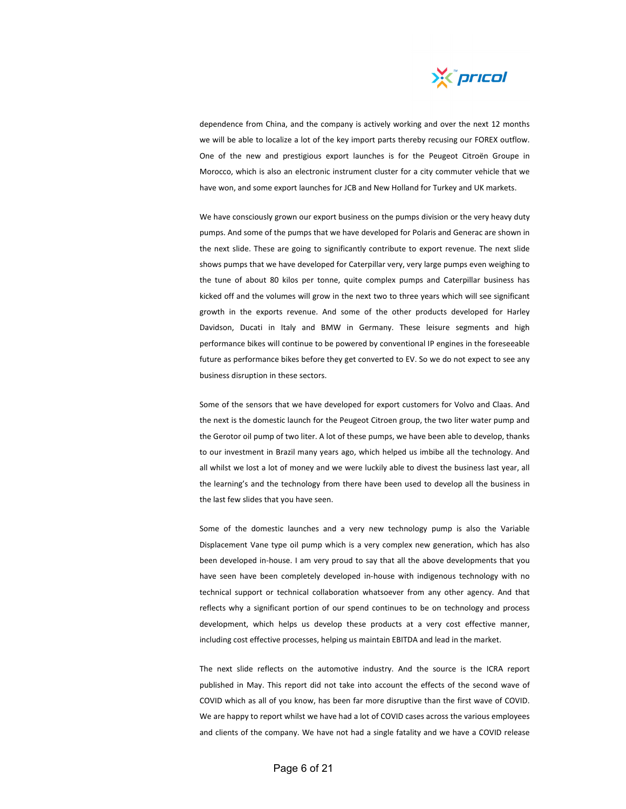

dependence from China, and the company is actively working and over the next 12 months we will be able to localize a lot of the key import parts thereby recusing our FOREX outflow. One of the new and prestigious export launches is for the Peugeot Citroën Groupe in Morocco, which is also an electronic instrument cluster for a city commuter vehicle that we have won, and some export launches for JCB and New Holland for Turkey and UK markets.

We have consciously grown our export business on the pumps division or the very heavy duty pumps. And some of the pumps that we have developed for Polaris and Generac are shown in the next slide. These are going to significantly contribute to export revenue. The next slide shows pumps that we have developed for Caterpillar very, very large pumps even weighing to the tune of about 80 kilos per tonne, quite complex pumps and Caterpillar business has kicked off and the volumes will grow in the next two to three years which will see significant growth in the exports revenue. And some of the other products developed for Harley Davidson, Ducati in Italy and BMW in Germany. These leisure segments and high performance bikes will continue to be powered by conventional IP engines in the foreseeable future as performance bikes before they get converted to EV. So we do not expect to see any business disruption in these sectors.

Some of the sensors that we have developed for export customers for Volvo and Claas. And the next is the domestic launch for the Peugeot Citroen group, the two liter water pump and the Gerotor oil pump of two liter. A lot of these pumps, we have been able to develop, thanks to our investment in Brazil many years ago, which helped us imbibe all the technology. And all whilst we lost a lot of money and we were luckily able to divest the business last year, all the learning's and the technology from there have been used to develop all the business in the last few slides that you have seen.

Some of the domestic launches and a very new technology pump is also the Variable Displacement Vane type oil pump which is a very complex new generation, which has also been developed in‐house. I am very proud to say that all the above developments that you have seen have been completely developed in‐house with indigenous technology with no technical support or technical collaboration whatsoever from any other agency. And that reflects why a significant portion of our spend continues to be on technology and process development, which helps us develop these products at a very cost effective manner, including cost effective processes, helping us maintain EBITDA and lead in the market.

The next slide reflects on the automotive industry. And the source is the ICRA report published in May. This report did not take into account the effects of the second wave of COVID which as all of you know, has been far more disruptive than the first wave of COVID. We are happy to report whilst we have had a lot of COVID cases across the various employees and clients of the company. We have not had a single fatality and we have a COVID release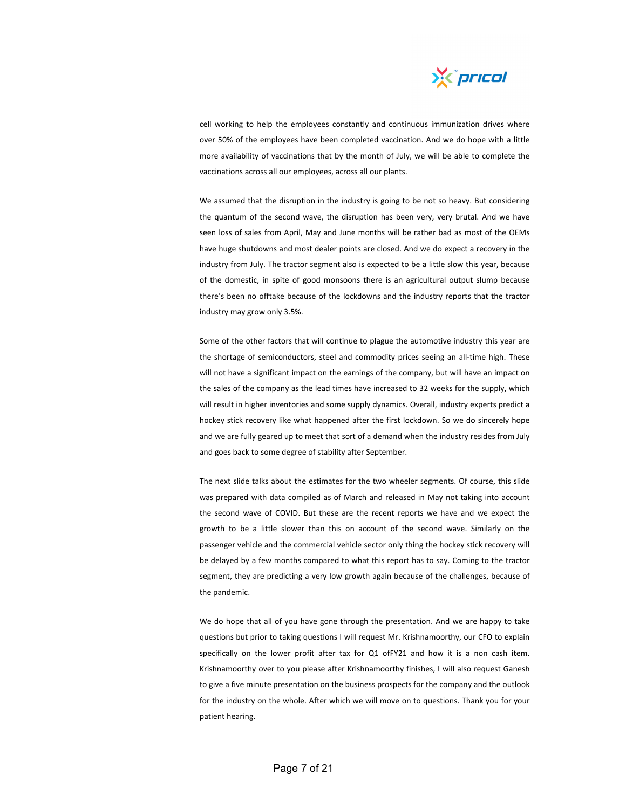

cell working to help the employees constantly and continuous immunization drives where over 50% of the employees have been completed vaccination. And we do hope with a little more availability of vaccinations that by the month of July, we will be able to complete the vaccinations across all our employees, across all our plants.

We assumed that the disruption in the industry is going to be not so heavy. But considering the quantum of the second wave, the disruption has been very, very brutal. And we have seen loss of sales from April, May and June months will be rather bad as most of the OEMs have huge shutdowns and most dealer points are closed. And we do expect a recovery in the industry from July. The tractor segment also is expected to be a little slow this year, because of the domestic, in spite of good monsoons there is an agricultural output slump because there's been no offtake because of the lockdowns and the industry reports that the tractor industry may grow only 3.5%.

Some of the other factors that will continue to plague the automotive industry this year are the shortage of semiconductors, steel and commodity prices seeing an all-time high. These will not have a significant impact on the earnings of the company, but will have an impact on the sales of the company as the lead times have increased to 32 weeks for the supply, which will result in higher inventories and some supply dynamics. Overall, industry experts predict a hockey stick recovery like what happened after the first lockdown. So we do sincerely hope and we are fully geared up to meet that sort of a demand when the industry resides from July and goes back to some degree of stability after September.

The next slide talks about the estimates for the two wheeler segments. Of course, this slide was prepared with data compiled as of March and released in May not taking into account the second wave of COVID. But these are the recent reports we have and we expect the growth to be a little slower than this on account of the second wave. Similarly on the passenger vehicle and the commercial vehicle sector only thing the hockey stick recovery will be delayed by a few months compared to what this report has to say. Coming to the tractor segment, they are predicting a very low growth again because of the challenges, because of the pandemic.

We do hope that all of you have gone through the presentation. And we are happy to take questions but prior to taking questions I will request Mr. Krishnamoorthy, our CFO to explain specifically on the lower profit after tax for Q1 ofFY21 and how it is a non cash item. Krishnamoorthy over to you please after Krishnamoorthy finishes, I will also request Ganesh to give a five minute presentation on the business prospects for the company and the outlook for the industry on the whole. After which we will move on to questions. Thank you for your patient hearing.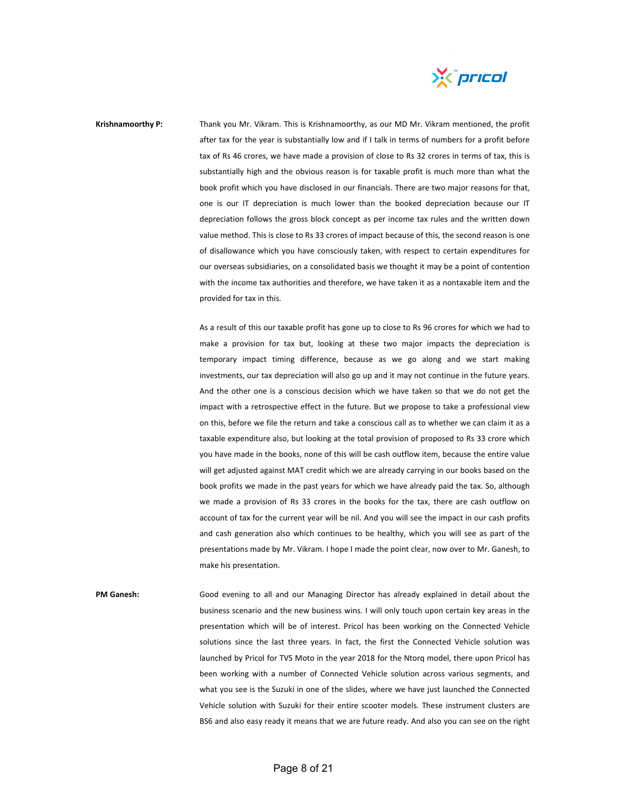

**Krishnamoorthy P:** Thank you Mr. Vikram. This is Krishnamoorthy, as our MD Mr. Vikram mentioned, the profit after tax for the year is substantially low and if I talk in terms of numbers for a profit before tax of Rs 46 crores, we have made a provision of close to Rs 32 crores in terms of tax, this is substantially high and the obvious reason is for taxable profit is much more than what the book profit which you have disclosed in our financials. There are two major reasons for that, one is our IT depreciation is much lower than the booked depreciation because our IT depreciation follows the gross block concept as per income tax rules and the written down value method. This is close to Rs 33 crores of impact because of this, the second reason is one of disallowance which you have consciously taken, with respect to certain expenditures for our overseas subsidiaries, on a consolidated basis we thought it may be a point of contention with the income tax authorities and therefore, we have taken it as a nontaxable item and the provided for tax in this.

> As a result of this our taxable profit has gone up to close to Rs 96 crores for which we had to make a provision for tax but, looking at these two major impacts the depreciation is temporary impact timing difference, because as we go along and we start making investments, our tax depreciation will also go up and it may not continue in the future years. And the other one is a conscious decision which we have taken so that we do not get the impact with a retrospective effect in the future. But we propose to take a professional view on this, before we file the return and take a conscious call as to whether we can claim it as a taxable expenditure also, but looking at the total provision of proposed to Rs 33 crore which you have made in the books, none of this will be cash outflow item, because the entire value will get adjusted against MAT credit which we are already carrying in our books based on the book profits we made in the past years for which we have already paid the tax. So, although we made a provision of Rs 33 crores in the books for the tax, there are cash outflow on account of tax for the current year will be nil. And you will see the impact in our cash profits and cash generation also which continues to be healthy, which you will see as part of the presentations made by Mr. Vikram. I hope I made the point clear, now over to Mr. Ganesh, to make his presentation.

**PM Ganesh:** Good evening to all and our Managing Director has already explained in detail about the business scenario and the new business wins. I will only touch upon certain key areas in the presentation which will be of interest. Pricol has been working on the Connected Vehicle solutions since the last three years. In fact, the first the Connected Vehicle solution was launched by Pricol for TVS Moto in the year 2018 for the Ntorq model, there upon Pricol has been working with a number of Connected Vehicle solution across various segments, and what you see is the Suzuki in one of the slides, where we have just launched the Connected Vehicle solution with Suzuki for their entire scooter models. These instrument clusters are BS6 and also easy ready it means that we are future ready. And also you can see on the right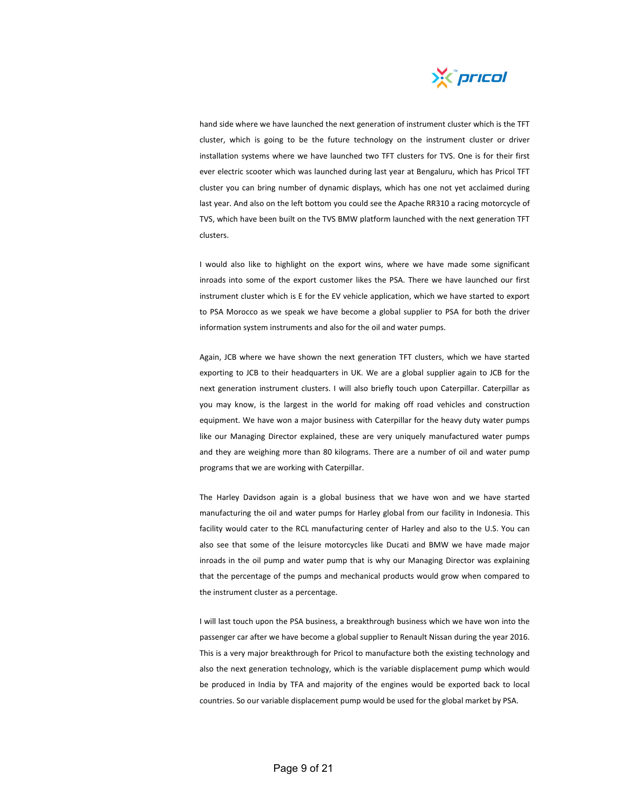

hand side where we have launched the next generation of instrument cluster which is the TFT cluster, which is going to be the future technology on the instrument cluster or driver installation systems where we have launched two TFT clusters for TVS. One is for their first ever electric scooter which was launched during last year at Bengaluru, which has Pricol TFT cluster you can bring number of dynamic displays, which has one not yet acclaimed during last year. And also on the left bottom you could see the Apache RR310 a racing motorcycle of TVS, which have been built on the TVS BMW platform launched with the next generation TFT clusters.

I would also like to highlight on the export wins, where we have made some significant inroads into some of the export customer likes the PSA. There we have launched our first instrument cluster which is E for the EV vehicle application, which we have started to export to PSA Morocco as we speak we have become a global supplier to PSA for both the driver information system instruments and also for the oil and water pumps.

Again, JCB where we have shown the next generation TFT clusters, which we have started exporting to JCB to their headquarters in UK. We are a global supplier again to JCB for the next generation instrument clusters. I will also briefly touch upon Caterpillar. Caterpillar as you may know, is the largest in the world for making off road vehicles and construction equipment. We have won a major business with Caterpillar for the heavy duty water pumps like our Managing Director explained, these are very uniquely manufactured water pumps and they are weighing more than 80 kilograms. There are a number of oil and water pump programs that we are working with Caterpillar.

The Harley Davidson again is a global business that we have won and we have started manufacturing the oil and water pumps for Harley global from our facility in Indonesia. This facility would cater to the RCL manufacturing center of Harley and also to the U.S. You can also see that some of the leisure motorcycles like Ducati and BMW we have made major inroads in the oil pump and water pump that is why our Managing Director was explaining that the percentage of the pumps and mechanical products would grow when compared to the instrument cluster as a percentage.

I will last touch upon the PSA business, a breakthrough business which we have won into the passenger car after we have become a global supplier to Renault Nissan during the year 2016. This is a very major breakthrough for Pricol to manufacture both the existing technology and also the next generation technology, which is the variable displacement pump which would be produced in India by TFA and majority of the engines would be exported back to local countries. So our variable displacement pump would be used for the global market by PSA.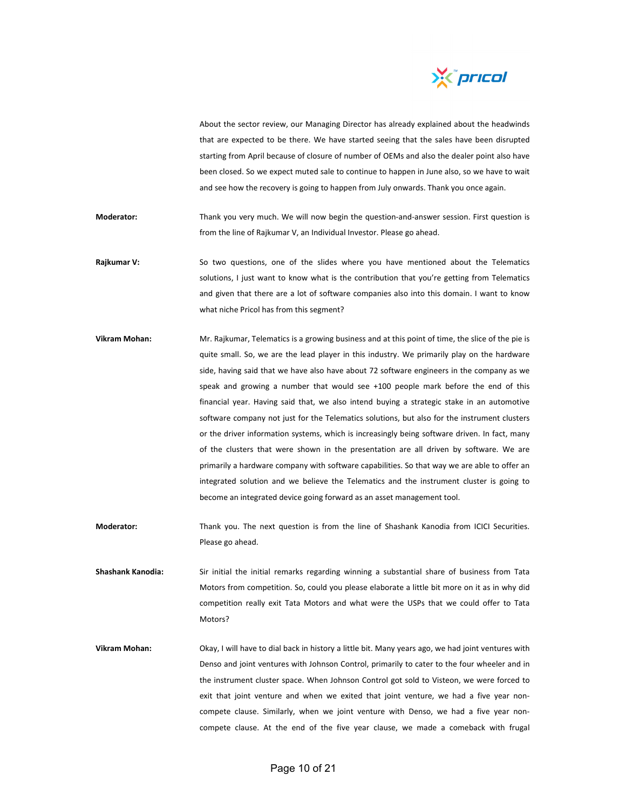

About the sector review, our Managing Director has already explained about the headwinds that are expected to be there. We have started seeing that the sales have been disrupted starting from April because of closure of number of OEMs and also the dealer point also have been closed. So we expect muted sale to continue to happen in June also, so we have to wait and see how the recovery is going to happen from July onwards. Thank you once again.

Moderator: Thank you very much. We will now begin the question-and-answer session. First question is from the line of Rajkumar V, an Individual Investor. Please go ahead.

- **Rajkumar V:** So two questions, one of the slides where you have mentioned about the Telematics solutions, I just want to know what is the contribution that you're getting from Telematics and given that there are a lot of software companies also into this domain. I want to know what niche Pricol has from this segment?
- **Vikram Mohan:** Mr. Rajkumar, Telematics is a growing business and at this point of time, the slice of the pie is quite small. So, we are the lead player in this industry. We primarily play on the hardware side, having said that we have also have about 72 software engineers in the company as we speak and growing a number that would see +100 people mark before the end of this financial year. Having said that, we also intend buying a strategic stake in an automotive software company not just for the Telematics solutions, but also for the instrument clusters or the driver information systems, which is increasingly being software driven. In fact, many of the clusters that were shown in the presentation are all driven by software. We are primarily a hardware company with software capabilities. So that way we are able to offer an integrated solution and we believe the Telematics and the instrument cluster is going to become an integrated device going forward as an asset management tool.
- **Moderator:** Thank you. The next question is from the line of Shashank Kanodia from ICICI Securities. Please go ahead.
- **Shashank Kanodia:** Sir initial the initial remarks regarding winning a substantial share of business from Tata Motors from competition. So, could you please elaborate a little bit more on it as in why did competition really exit Tata Motors and what were the USPs that we could offer to Tata Motors?
- **Vikram Mohan:** Okay, I will have to dial back in history a little bit. Many years ago, we had joint ventures with Denso and joint ventures with Johnson Control, primarily to cater to the four wheeler and in the instrument cluster space. When Johnson Control got sold to Visteon, we were forced to exit that joint venture and when we exited that joint venture, we had a five year noncompete clause. Similarly, when we joint venture with Denso, we had a five year noncompete clause. At the end of the five year clause, we made a comeback with frugal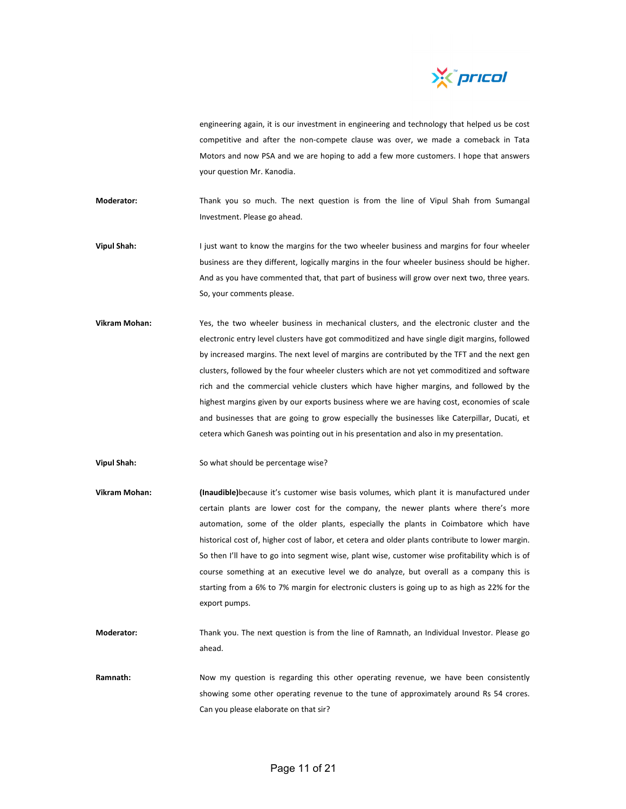

engineering again, it is our investment in engineering and technology that helped us be cost competitive and after the non-compete clause was over, we made a comeback in Tata Motors and now PSA and we are hoping to add a few more customers. I hope that answers your question Mr. Kanodia.

**Moderator:** Thank you so much. The next question is from the line of Vipul Shah from Sumangal Investment. Please go ahead.

- **Vipul Shah:** I just want to know the margins for the two wheeler business and margins for four wheeler business are they different, logically margins in the four wheeler business should be higher. And as you have commented that, that part of business will grow over next two, three years. So, your comments please.
- **Vikram Mohan:** Yes, the two wheeler business in mechanical clusters, and the electronic cluster and the electronic entry level clusters have got commoditized and have single digit margins, followed by increased margins. The next level of margins are contributed by the TFT and the next gen clusters, followed by the four wheeler clusters which are not yet commoditized and software rich and the commercial vehicle clusters which have higher margins, and followed by the highest margins given by our exports business where we are having cost, economies of scale and businesses that are going to grow especially the businesses like Caterpillar, Ducati, et cetera which Ganesh was pointing out in his presentation and also in my presentation.

**Vipul Shah:** So what should be percentage wise?

- **Vikram Mohan: (Inaudible)**because it's customer wise basis volumes, which plant it is manufactured under certain plants are lower cost for the company, the newer plants where there's more automation, some of the older plants, especially the plants in Coimbatore which have historical cost of, higher cost of labor, et cetera and older plants contribute to lower margin. So then I'll have to go into segment wise, plant wise, customer wise profitability which is of course something at an executive level we do analyze, but overall as a company this is starting from a 6% to 7% margin for electronic clusters is going up to as high as 22% for the export pumps.
- **Moderator:** Thank you. The next question is from the line of Ramnath, an Individual Investor. Please go ahead.
- Ramnath: Now my question is regarding this other operating revenue, we have been consistently showing some other operating revenue to the tune of approximately around Rs 54 crores. Can you please elaborate on that sir?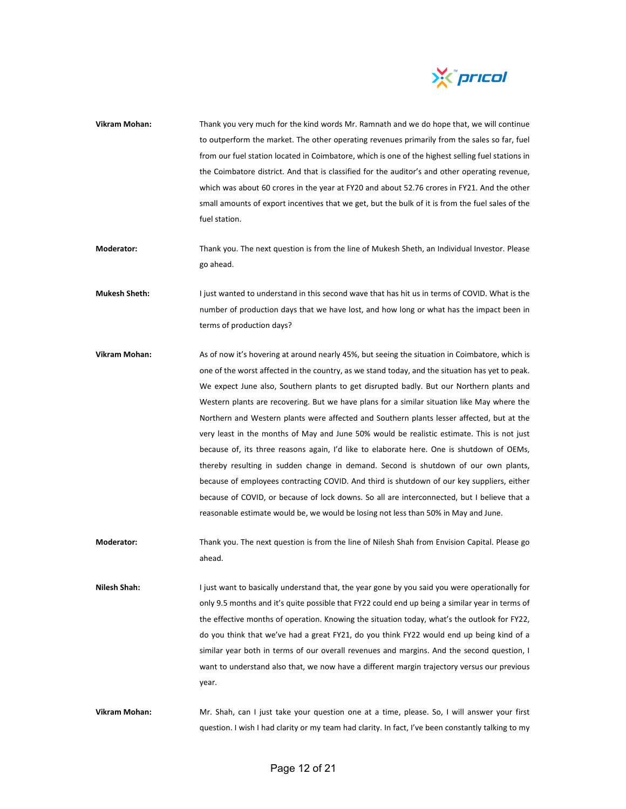

- **Vikram Mohan:** Thank you very much for the kind words Mr. Ramnath and we do hope that, we will continue to outperform the market. The other operating revenues primarily from the sales so far, fuel from our fuel station located in Coimbatore, which is one of the highest selling fuel stations in the Coimbatore district. And that is classified for the auditor's and other operating revenue, which was about 60 crores in the year at FY20 and about 52.76 crores in FY21. And the other small amounts of export incentives that we get, but the bulk of it is from the fuel sales of the fuel station.
- **Moderator:** Thank you. The next question is from the line of Mukesh Sheth, an Individual Investor. Please go ahead.
- **Mukesh Sheth:** I just wanted to understand in this second wave that has hit us in terms of COVID. What is the number of production days that we have lost, and how long or what has the impact been in terms of production days?
- **Vikram Mohan:** As of now it's hovering at around nearly 45%, but seeing the situation in Coimbatore, which is one of the worst affected in the country, as we stand today, and the situation has yet to peak. We expect June also, Southern plants to get disrupted badly. But our Northern plants and Western plants are recovering. But we have plans for a similar situation like May where the Northern and Western plants were affected and Southern plants lesser affected, but at the very least in the months of May and June 50% would be realistic estimate. This is not just because of, its three reasons again, I'd like to elaborate here. One is shutdown of OEMs, thereby resulting in sudden change in demand. Second is shutdown of our own plants, because of employees contracting COVID. And third is shutdown of our key suppliers, either because of COVID, or because of lock downs. So all are interconnected, but I believe that a reasonable estimate would be, we would be losing not less than 50% in May and June.
- **Moderator:** Thank you. The next question is from the line of Nilesh Shah from Envision Capital. Please go ahead.
- **Nilesh Shah:** I just want to basically understand that, the year gone by you said you were operationally for only 9.5 months and it's quite possible that FY22 could end up being a similar year in terms of the effective months of operation. Knowing the situation today, what's the outlook for FY22, do you think that we've had a great FY21, do you think FY22 would end up being kind of a similar year both in terms of our overall revenues and margins. And the second question, I want to understand also that, we now have a different margin trajectory versus our previous year.
- **Vikram Mohan:** Mr. Shah, can I just take your question one at a time, please. So, I will answer your first question. I wish I had clarity or my team had clarity. In fact, I've been constantly talking to my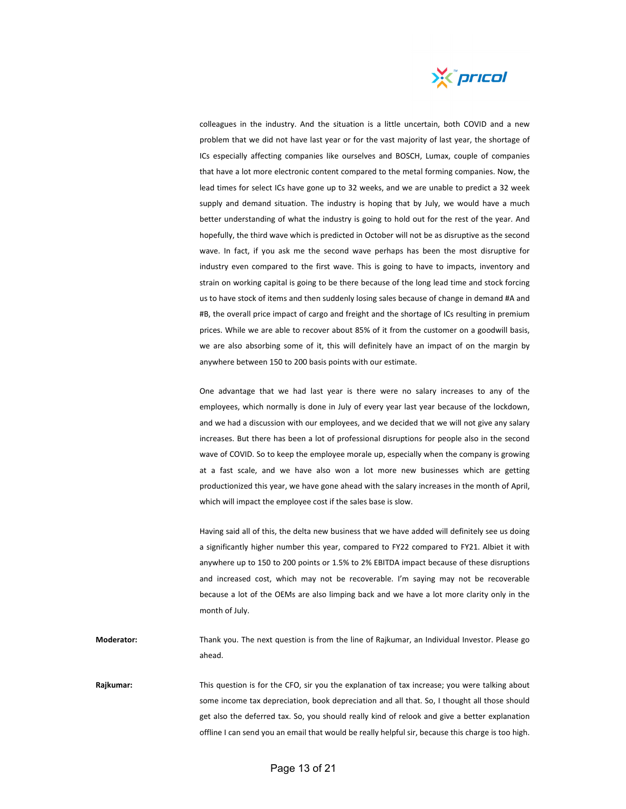

colleagues in the industry. And the situation is a little uncertain, both COVID and a new problem that we did not have last year or for the vast majority of last year, the shortage of ICs especially affecting companies like ourselves and BOSCH, Lumax, couple of companies that have a lot more electronic content compared to the metal forming companies. Now, the lead times for select ICs have gone up to 32 weeks, and we are unable to predict a 32 week supply and demand situation. The industry is hoping that by July, we would have a much better understanding of what the industry is going to hold out for the rest of the year. And hopefully, the third wave which is predicted in October will not be as disruptive as the second wave. In fact, if you ask me the second wave perhaps has been the most disruptive for industry even compared to the first wave. This is going to have to impacts, inventory and strain on working capital is going to be there because of the long lead time and stock forcing us to have stock of items and then suddenly losing sales because of change in demand #A and #B, the overall price impact of cargo and freight and the shortage of ICs resulting in premium prices. While we are able to recover about 85% of it from the customer on a goodwill basis, we are also absorbing some of it, this will definitely have an impact of on the margin by anywhere between 150 to 200 basis points with our estimate.

One advantage that we had last year is there were no salary increases to any of the employees, which normally is done in July of every year last year because of the lockdown, and we had a discussion with our employees, and we decided that we will not give any salary increases. But there has been a lot of professional disruptions for people also in the second wave of COVID. So to keep the employee morale up, especially when the company is growing at a fast scale, and we have also won a lot more new businesses which are getting productionized this year, we have gone ahead with the salary increases in the month of April, which will impact the employee cost if the sales base is slow.

Having said all of this, the delta new business that we have added will definitely see us doing a significantly higher number this year, compared to FY22 compared to FY21. Albiet it with anywhere up to 150 to 200 points or 1.5% to 2% EBITDA impact because of these disruptions and increased cost, which may not be recoverable. I'm saying may not be recoverable because a lot of the OEMs are also limping back and we have a lot more clarity only in the month of July.

**Moderator:** Thank you. The next question is from the line of Rajkumar, an Individual Investor. Please go ahead.

**Rajkumar:** This question is for the CFO, sir you the explanation of tax increase; you were talking about some income tax depreciation, book depreciation and all that. So, I thought all those should get also the deferred tax. So, you should really kind of relook and give a better explanation offline I can send you an email that would be really helpful sir, because this charge is too high.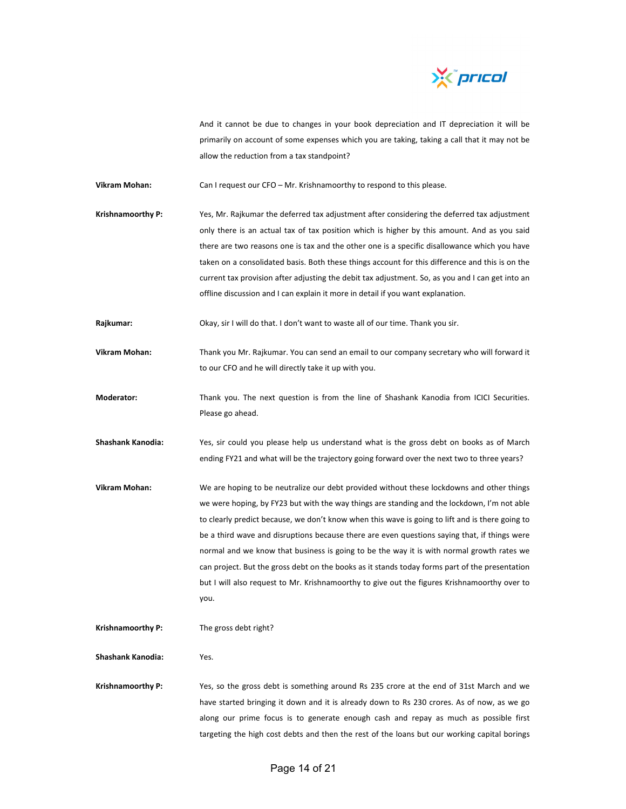

And it cannot be due to changes in your book depreciation and IT depreciation it will be primarily on account of some expenses which you are taking, taking a call that it may not be allow the reduction from a tax standpoint?

**Vikram Mohan:** Can I request our CFO – Mr. Krishnamoorthy to respond to this please.

**Krishnamoorthy P:** Yes, Mr. Rajkumar the deferred tax adjustment after considering the deferred tax adjustment only there is an actual tax of tax position which is higher by this amount. And as you said there are two reasons one is tax and the other one is a specific disallowance which you have taken on a consolidated basis. Both these things account for this difference and this is on the current tax provision after adjusting the debit tax adjustment. So, as you and I can get into an offline discussion and I can explain it more in detail if you want explanation.

**Rajkumar:** Okay, sir I will do that. I don't want to waste all of our time. Thank you sir.

- **Vikram Mohan:** Thank you Mr. Rajkumar. You can send an email to our company secretary who will forward it to our CFO and he will directly take it up with you.
- **Moderator:** Thank you. The next question is from the line of Shashank Kanodia from ICICI Securities. Please go ahead.
- **Shashank Kanodia:** Yes, sir could you please help us understand what is the gross debt on books as of March ending FY21 and what will be the trajectory going forward over the next two to three years?
- **Vikram Mohan:** We are hoping to be neutralize our debt provided without these lockdowns and other things we were hoping, by FY23 but with the way things are standing and the lockdown, I'm not able to clearly predict because, we don't know when this wave is going to lift and is there going to be a third wave and disruptions because there are even questions saying that, if things were normal and we know that business is going to be the way it is with normal growth rates we can project. But the gross debt on the books as it stands today forms part of the presentation but I will also request to Mr. Krishnamoorthy to give out the figures Krishnamoorthy over to you.

**Krishnamoorthy P:** The gross debt right?

**Shashank Kanodia:** Yes.

**Krishnamoorthy P:** Yes, so the gross debt is something around Rs 235 crore at the end of 31st March and we have started bringing it down and it is already down to Rs 230 crores. As of now, as we go along our prime focus is to generate enough cash and repay as much as possible first targeting the high cost debts and then the rest of the loans but our working capital borings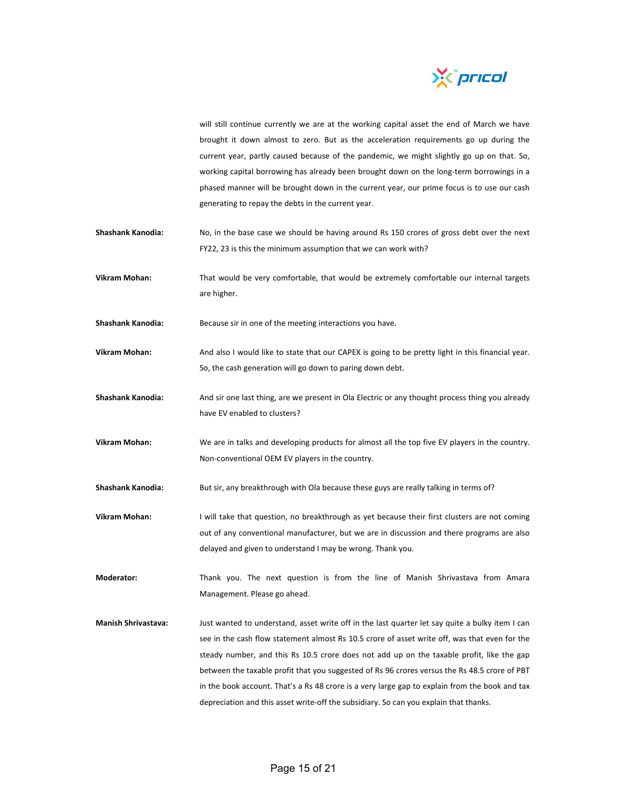

will still continue currently we are at the working capital asset the end of March we have brought it down almost to zero. But as the acceleration requirements go up during the current year, partly caused because of the pandemic, we might slightly go up on that. So, working capital borrowing has already been brought down on the long-term borrowings in a phased manner will be brought down in the current year, our prime focus is to use our cash generating to repay the debts in the current year.

- **Shashank Kanodia:** No, in the base case we should be having around Rs 150 crores of gross debt over the next FY22, 23 is this the minimum assumption that we can work with?
- **Vikram Mohan:** That would be very comfortable, that would be extremely comfortable our internal targets are higher.
- **Shashank Kanodia:** Because sir in one of the meeting interactions you have.
- **Vikram Mohan:** And also I would like to state that our CAPEX is going to be pretty light in this financial year. So, the cash generation will go down to paring down debt.
- **Shashank Kanodia:** And sir one last thing, are we present in Ola Electric or any thought process thing you already have EV enabled to clusters?
- **Vikram Mohan:** We are in talks and developing products for almost all the top five EV players in the country. Non‐conventional OEM EV players in the country.
- **Shashank Kanodia:** But sir, any breakthrough with Ola because these guys are really talking in terms of?
- **Vikram Mohan:** I will take that question, no breakthrough as yet because their first clusters are not coming out of any conventional manufacturer, but we are in discussion and there programs are also delayed and given to understand I may be wrong. Thank you.
- **Moderator:** Thank you. The next question is from the line of Manish Shrivastava from Amara Management. Please go ahead.
- **Manish Shrivastava:** Just wanted to understand, asset write off in the last quarter let say quite a bulky item I can see in the cash flow statement almost Rs 10.5 crore of asset write off, was that even for the steady number, and this Rs 10.5 crore does not add up on the taxable profit, like the gap between the taxable profit that you suggested of Rs 96 crores versus the Rs 48.5 crore of PBT in the book account. That's a Rs 48 crore is a very large gap to explain from the book and tax depreciation and this asset write‐off the subsidiary. So can you explain that thanks.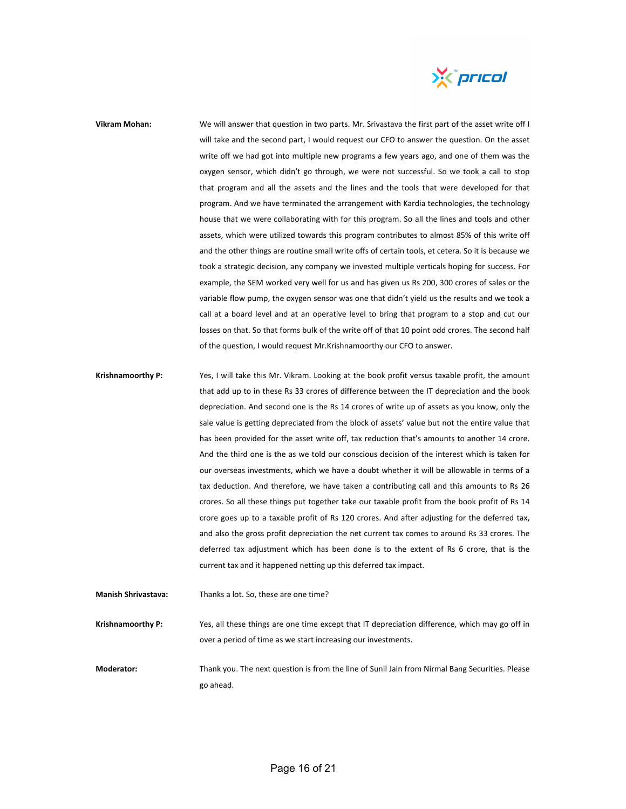

## **Vikram Mohan:** We will answer that question in two parts. Mr. Srivastava the first part of the asset write off I will take and the second part, I would request our CFO to answer the question. On the asset write off we had got into multiple new programs a few years ago, and one of them was the oxygen sensor, which didn't go through, we were not successful. So we took a call to stop that program and all the assets and the lines and the tools that were developed for that program. And we have terminated the arrangement with Kardia technologies, the technology house that we were collaborating with for this program. So all the lines and tools and other assets, which were utilized towards this program contributes to almost 85% of this write off and the other things are routine small write offs of certain tools, et cetera. So it is because we took a strategic decision, any company we invested multiple verticals hoping for success. For example, the SEM worked very well for us and has given us Rs 200, 300 crores of sales or the variable flow pump, the oxygen sensor was one that didn't yield us the results and we took a call at a board level and at an operative level to bring that program to a stop and cut our losses on that. So that forms bulk of the write off of that 10 point odd crores. The second half of the question, I would request Mr.Krishnamoorthy our CFO to answer.

- **Krishnamoorthy P:** Yes, I will take this Mr. Vikram. Looking at the book profit versus taxable profit, the amount that add up to in these Rs 33 crores of difference between the IT depreciation and the book depreciation. And second one is the Rs 14 crores of write up of assets as you know, only the sale value is getting depreciated from the block of assets' value but not the entire value that has been provided for the asset write off, tax reduction that's amounts to another 14 crore. And the third one is the as we told our conscious decision of the interest which is taken for our overseas investments, which we have a doubt whether it will be allowable in terms of a tax deduction. And therefore, we have taken a contributing call and this amounts to Rs 26 crores. So all these things put together take our taxable profit from the book profit of Rs 14 crore goes up to a taxable profit of Rs 120 crores. And after adjusting for the deferred tax, and also the gross profit depreciation the net current tax comes to around Rs 33 crores. The deferred tax adjustment which has been done is to the extent of Rs 6 crore, that is the current tax and it happened netting up this deferred tax impact.
- **Manish Shrivastava:** Thanks a lot. So, these are one time? **Krishnamoorthy P:** Yes, all these things are one time except that IT depreciation difference, which may go off in

**Moderator:** Thank you. The next question is from the line of Sunil Jain from Nirmal Bang Securities. Please go ahead.

over a period of time as we start increasing our investments.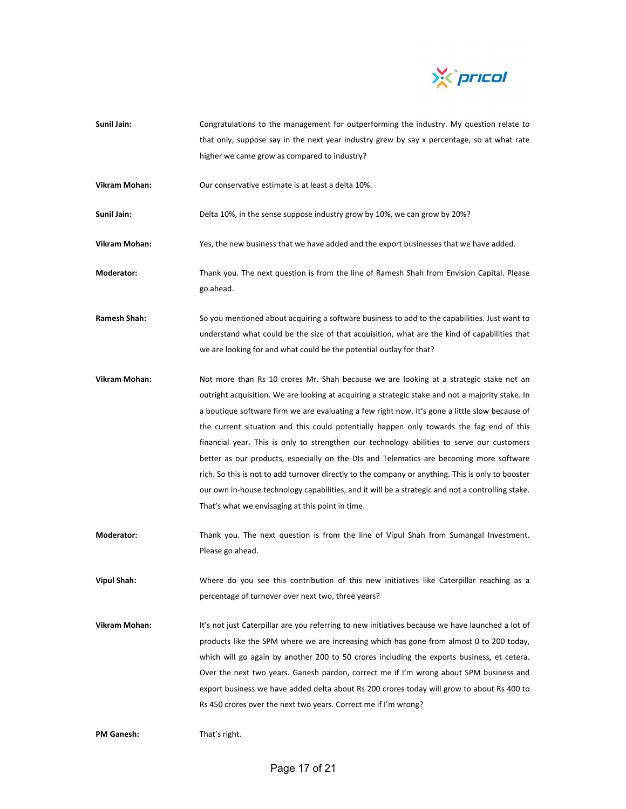

- **Sunil Jain:** Congratulations to the management for outperforming the industry. My question relate to that only, suppose say in the next year industry grew by say x percentage, so at what rate higher we came grow as compared to industry?
- **Vikram Mohan:** Our conservative estimate is at least a delta 10%.

**Sunil Jain:** Delta 10%, in the sense suppose industry grow by 10%, we can grow by 20%?

**Vikram Mohan:** Yes, the new business that we have added and the export businesses that we have added.

**Moderator:** Thank you. The next question is from the line of Ramesh Shah from Envision Capital. Please go ahead.

- **Ramesh Shah:** So you mentioned about acquiring a software business to add to the capabilities. Just want to understand what could be the size of that acquisition, what are the kind of capabilities that we are looking for and what could be the potential outlay for that?
- **Vikram Mohan:** Not more than Rs 10 crores Mr. Shah because we are looking at a strategic stake not an outright acquisition. We are looking at acquiring a strategic stake and not a majority stake. In a boutique software firm we are evaluating a few right now. It's gone a little slow because of the current situation and this could potentially happen only towards the fag end of this financial year. This is only to strengthen our technology abilities to serve our customers better as our products, especially on the DIs and Telematics are becoming more software rich. So this is not to add turnover directly to the company or anything. This is only to booster our own in‐house technology capabilities, and it will be a strategic and not a controlling stake. That's what we envisaging at this point in time.
- **Moderator:** Thank you. The next question is from the line of Vipul Shah from Sumangal Investment. Please go ahead.

**Vipul Shah:** Where do you see this contribution of this new initiatives like Caterpillar reaching as a percentage of turnover over next two, three years?

**Vikram Mohan:** It's not just Caterpillar are you referring to new initiatives because we have launched a lot of products like the SPM where we are increasing which has gone from almost 0 to 200 today, which will go again by another 200 to 50 crores including the exports business, et cetera. Over the next two years. Ganesh pardon, correct me if I'm wrong about SPM business and export business we have added delta about Rs 200 crores today will grow to about Rs 400 to Rs 450 crores over the next two years. Correct me if I'm wrong?

**PM Ganesh:** That's right.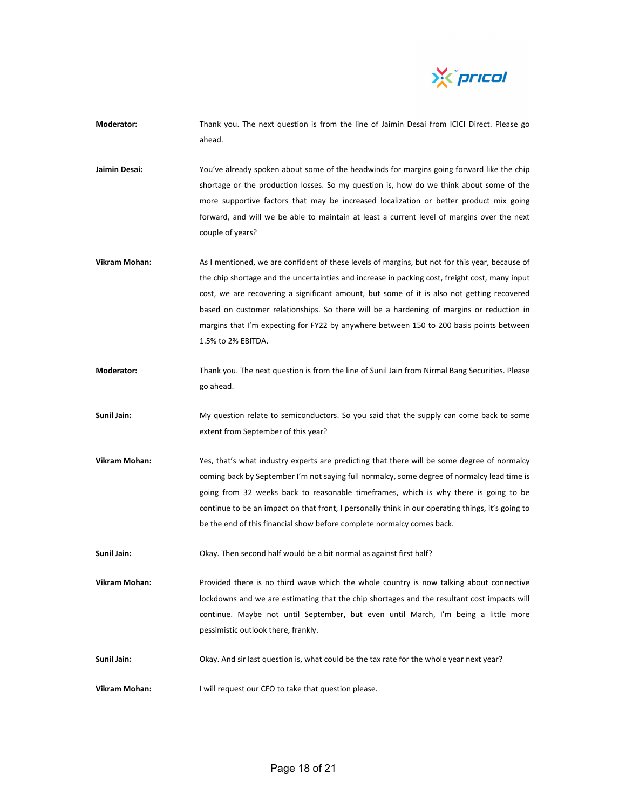

- **Moderator:** Thank you. The next question is from the line of Jaimin Desai from ICICI Direct. Please go ahead.
- **Jaimin Desai:** You've already spoken about some of the headwinds for margins going forward like the chip shortage or the production losses. So my question is, how do we think about some of the more supportive factors that may be increased localization or better product mix going forward, and will we be able to maintain at least a current level of margins over the next couple of years?
- **Vikram Mohan:** As I mentioned, we are confident of these levels of margins, but not for this year, because of the chip shortage and the uncertainties and increase in packing cost, freight cost, many input cost, we are recovering a significant amount, but some of it is also not getting recovered based on customer relationships. So there will be a hardening of margins or reduction in margins that I'm expecting for FY22 by anywhere between 150 to 200 basis points between 1.5% to 2% EBITDA.
- **Moderator:** Thank you. The next question is from the line of Sunil Jain from Nirmal Bang Securities. Please go ahead.
- **Sunil Jain:** My question relate to semiconductors. So you said that the supply can come back to some extent from September of this year?
- **Vikram Mohan:** Yes, that's what industry experts are predicting that there will be some degree of normalcy coming back by September I'm not saying full normalcy, some degree of normalcy lead time is going from 32 weeks back to reasonable timeframes, which is why there is going to be continue to be an impact on that front, I personally think in our operating things, it's going to be the end of this financial show before complete normalcy comes back.
- **Sunil Jain:** Okay. Then second half would be a bit normal as against first half?
- **Vikram Mohan:** Provided there is no third wave which the whole country is now talking about connective lockdowns and we are estimating that the chip shortages and the resultant cost impacts will continue. Maybe not until September, but even until March, I'm being a little more pessimistic outlook there, frankly.
- **Sunil Jain:** Okay. And sir last question is, what could be the tax rate for the whole year next year?
- **Vikram Mohan:** I will request our CFO to take that question please.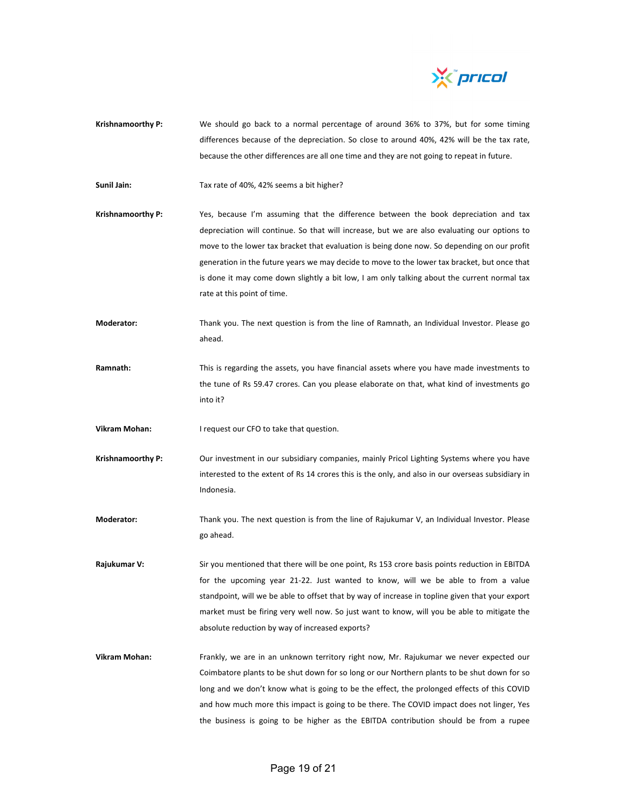

**Krishnamoorthy P:** We should go back to a normal percentage of around 36% to 37%, but for some timing differences because of the depreciation. So close to around 40%, 42% will be the tax rate, because the other differences are all one time and they are not going to repeat in future.

**Sunil Jain:** Tax rate of 40%, 42% seems a bit higher?

- **Krishnamoorthy P:** Yes, because I'm assuming that the difference between the book depreciation and tax depreciation will continue. So that will increase, but we are also evaluating our options to move to the lower tax bracket that evaluation is being done now. So depending on our profit generation in the future years we may decide to move to the lower tax bracket, but once that is done it may come down slightly a bit low, I am only talking about the current normal tax rate at this point of time.
- **Moderator:** Thank you. The next question is from the line of Ramnath, an Individual Investor. Please go ahead.
- **Ramnath:** This is regarding the assets, you have financial assets where you have made investments to the tune of Rs 59.47 crores. Can you please elaborate on that, what kind of investments go into it?

**Vikram Mohan:** I request our CFO to take that question.

- **Krishnamoorthy P:** Our investment in our subsidiary companies, mainly Pricol Lighting Systems where you have interested to the extent of Rs 14 crores this is the only, and also in our overseas subsidiary in Indonesia.
- **Moderator:** Thank you. The next question is from the line of Rajukumar V, an Individual Investor. Please go ahead.
- **Rajukumar V:** Sir you mentioned that there will be one point, Rs 153 crore basis points reduction in EBITDA for the upcoming year 21‐22. Just wanted to know, will we be able to from a value standpoint, will we be able to offset that by way of increase in topline given that your export market must be firing very well now. So just want to know, will you be able to mitigate the absolute reduction by way of increased exports?
- **Vikram Mohan:** Frankly, we are in an unknown territory right now, Mr. Rajukumar we never expected our Coimbatore plants to be shut down for so long or our Northern plants to be shut down for so long and we don't know what is going to be the effect, the prolonged effects of this COVID and how much more this impact is going to be there. The COVID impact does not linger, Yes the business is going to be higher as the EBITDA contribution should be from a rupee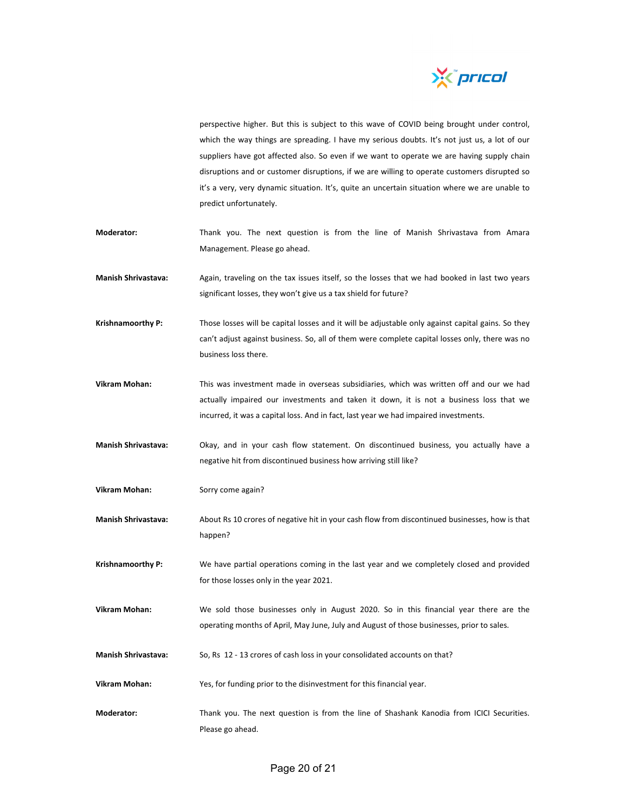

perspective higher. But this is subject to this wave of COVID being brought under control, which the way things are spreading. I have my serious doubts. It's not just us, a lot of our suppliers have got affected also. So even if we want to operate we are having supply chain disruptions and or customer disruptions, if we are willing to operate customers disrupted so it's a very, very dynamic situation. It's, quite an uncertain situation where we are unable to predict unfortunately.

- **Moderator:** Thank you. The next question is from the line of Manish Shrivastava from Amara Management. Please go ahead.
- **Manish Shrivastava:** Again, traveling on the tax issues itself, so the losses that we had booked in last two years significant losses, they won't give us a tax shield for future?
- **Krishnamoorthy P:** Those losses will be capital losses and it will be adjustable only against capital gains. So they can't adjust against business. So, all of them were complete capital losses only, there was no business loss there.
- **Vikram Mohan:** This was investment made in overseas subsidiaries, which was written off and our we had actually impaired our investments and taken it down, it is not a business loss that we incurred, it was a capital loss. And in fact, last year we had impaired investments.
- **Manish Shrivastava:** Okay, and in your cash flow statement. On discontinued business, you actually have a negative hit from discontinued business how arriving still like?
- **Vikram Mohan:** Sorry come again?
- **Manish Shrivastava:** About Rs 10 crores of negative hit in your cash flow from discontinued businesses, how is that happen?
- **Krishnamoorthy P:** We have partial operations coming in the last year and we completely closed and provided for those losses only in the year 2021.
- **Vikram Mohan:** We sold those businesses only in August 2020. So in this financial year there are the operating months of April, May June, July and August of those businesses, prior to sales.
- **Manish Shrivastava:** So, Rs 12 ‐ 13 crores of cash loss in your consolidated accounts on that?
- **Vikram Mohan:** Yes, for funding prior to the disinvestment for this financial year.
- **Moderator:** Thank you. The next question is from the line of Shashank Kanodia from ICICI Securities. Please go ahead.